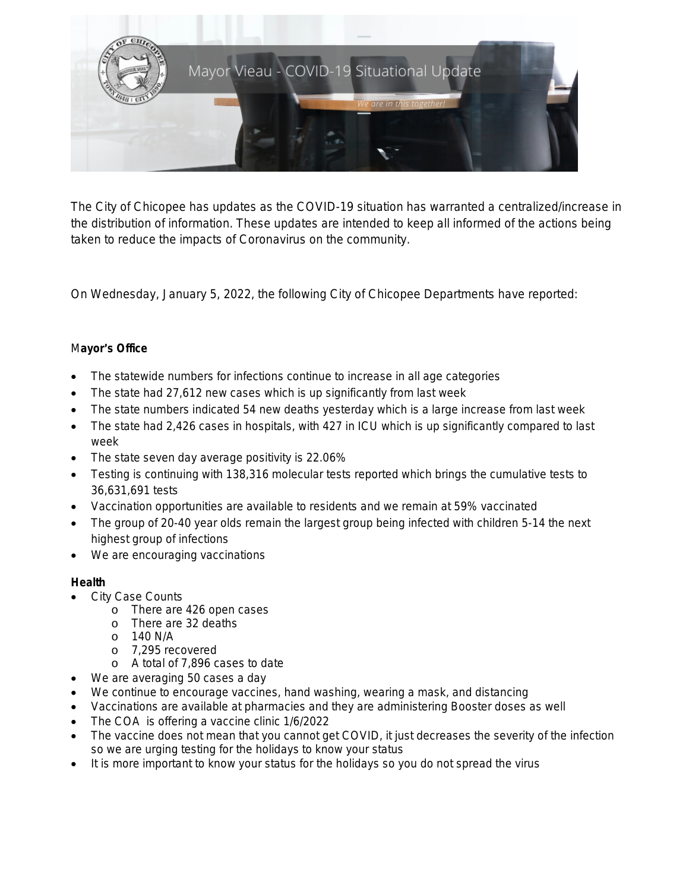

The City of Chicopee has updates as the COVID-19 situation has warranted a centralized/increase in the distribution of information. These updates are intended to keep all informed of the actions being taken to reduce the impacts of Coronavirus on the community.

On Wednesday, January 5, 2022, the following City of Chicopee Departments have reported:

# M**ayor**'**s Office**

- The statewide numbers for infections continue to increase in all age categories
- The state had 27,612 new cases which is up significantly from last week
- The state numbers indicated 54 new deaths yesterday which is a large increase from last week
- The state had 2,426 cases in hospitals, with 427 in ICU which is up significantly compared to last week
- The state seven day average positivity is 22.06%
- Testing is continuing with 138,316 molecular tests reported which brings the cumulative tests to 36,631,691 tests
- Vaccination opportunities are available to residents and we remain at 59% vaccinated
- The group of 20-40 year olds remain the largest group being infected with children 5-14 the next highest group of infections
- We are encouraging vaccinations

## **Health**

- City Case Counts
	- o There are 426 open cases
	- o There are 32 deaths
	- o 140 N/A
	- o 7,295 recovered
	- o A total of 7,896 cases to date
- We are averaging 50 cases a day
- We continue to encourage vaccines, hand washing, wearing a mask, and distancing
- Vaccinations are available at pharmacies and they are administering Booster doses as well
- The COA is offering a vaccine clinic 1/6/2022
- The vaccine does not mean that you cannot get COVID, it just decreases the severity of the infection so we are urging testing for the holidays to know your status
- It is more important to know your status for the holidays so you do not spread the virus